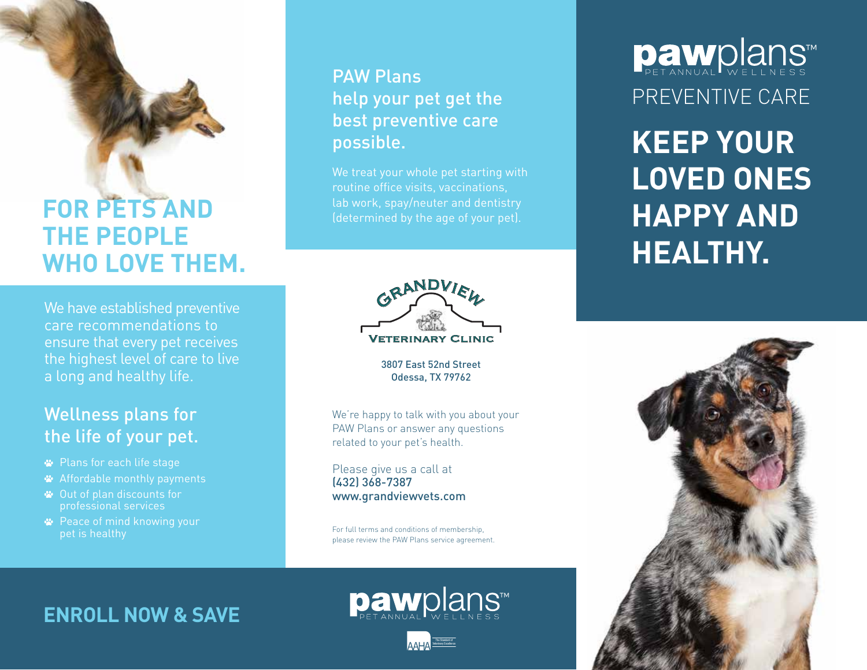# **FOR PETS AND THE PEOPLE WHO LOVE THEM.**

We have established preventive care recommendations to ensure that every pet receives the highest level of care to live a long and healthy life.

## Wellness plans for the life of your pet.

- Plans for each life stage
- Affordable monthly payments
- Out of plan discounts for professional services
- **<sup>■</sup>** Peace of mind knowing your pet is healthy

## PAW Plans help your pet get the best preventive care possible.

We treat your whole pet starting with routine office visits, vaccinations, lab work, spay/neuter and dentistry



3807 East 52nd Street Odessa, TX 79762

We're happy to talk with you about your PAW Plans or answer any questions related to your pet's health.

Please give us a call at (432) 368-7387 www.grandviewvets.com

For full terms and conditions of membership, please review the PAW Plans service agreement.

## **ENROLL NOW & SAVE**



The Standard of

# **Daw**plans™ PREVENTIVE CARE

**KEEP YOUR LOVED ONES HAPPY AND HEALTHY.**